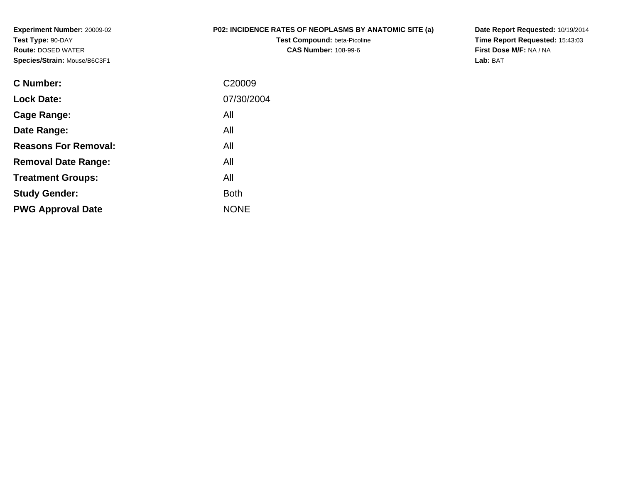**Experiment Number:** 20009-02**Test Type:** 90-DAY **Route:** DOSED WATER**Species/Strain:** Mouse/B6C3F1

## **P02: INCIDENCE RATES OF NEOPLASMS BY ANATOMIC SITE (a)**

**Test Compound:** beta-Picoline**CAS Number:** 108-99-6

**Date Report Requested:** 10/19/2014 **Time Report Requested:** 15:43:03**First Dose M/F:** NA / NA**Lab:** BAT

| C <sub>20009</sub> |
|--------------------|
| 07/30/2004         |
| All                |
| All                |
| All                |
| All                |
| All                |
| <b>Both</b>        |
| <b>NONE</b>        |
|                    |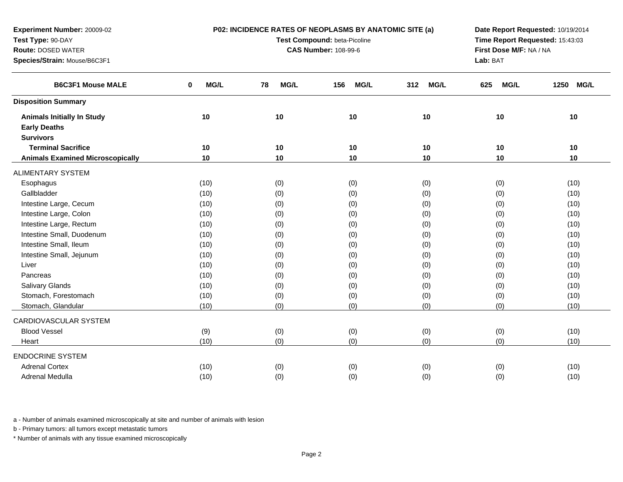| Test Compound: beta-Picoline<br>Time Report Requested: 15:43:03<br>Test Type: 90-DAY<br><b>Route: DOSED WATER</b><br><b>CAS Number: 108-99-6</b><br>First Dose M/F: NA / NA<br>Species/Strain: Mouse/B6C3F1<br>Lab: BAT<br><b>B6C3F1 Mouse MALE</b><br>MG/L<br>MG/L<br><b>MG/L</b><br><b>MG/L</b><br>MG/L<br>1250<br><b>MG/L</b><br>0<br>78<br>156<br>312<br>625<br><b>Disposition Summary</b><br>10<br>10<br>10<br>10<br>10<br>10<br><b>Animals Initially In Study</b><br><b>Early Deaths</b><br><b>Survivors</b><br><b>Terminal Sacrifice</b><br>10<br>10<br>10<br>10<br>10<br>10<br><b>Animals Examined Microscopically</b><br>10<br>10<br>10<br>10<br>10<br>10<br><b>ALIMENTARY SYSTEM</b><br>(0)<br>(0)<br>(0)<br>(10)<br>(0)<br>(10)<br>Esophagus<br>Gallbladder<br>(0)<br>(10)<br>(10)<br>(0)<br>(0)<br>(0)<br>Intestine Large, Cecum<br>(0)<br>(0)<br>(0)<br>(10)<br>(10)<br>(0)<br>Intestine Large, Colon<br>(0)<br>(10)<br>(0)<br>(0)<br>(0)<br>(10)<br>Intestine Large, Rectum<br>(0)<br>(10)<br>(10)<br>(0)<br>(0)<br>(0)<br>Intestine Small, Duodenum<br>(0)<br>(10)<br>(0)<br>(0)<br>(0)<br>(10)<br>Intestine Small, Ileum<br>(0)<br>(0)<br>(0)<br>(0)<br>(10)<br>(10)<br>Intestine Small, Jejunum<br>(0)<br>(0)<br>(10)<br>(0)<br>(0)<br>(10)<br>(0)<br>(0)<br>Liver<br>(10)<br>(0)<br>(10)<br>(0)<br>(0)<br>(0)<br>Pancreas<br>(10)<br>(0)<br>(0)<br>(10)<br>(0)<br>(0)<br><b>Salivary Glands</b><br>(10)<br>(0)<br>(0)<br>(10)<br>Stomach, Forestomach<br>(0)<br>(0)<br>(10)<br>(10)<br>(0)<br>(0)<br>(0)<br>Stomach, Glandular<br>(0)<br>(0)<br>(0)<br>(10)<br>(10)<br>CARDIOVASCULAR SYSTEM<br><b>Blood Vessel</b><br>(0)<br>(9)<br>(0)<br>(0)<br>(0)<br>(10)<br>(0)<br>(0)<br>(0)<br>(0)<br>(10)<br>(10)<br>Heart<br><b>ENDOCRINE SYSTEM</b><br><b>Adrenal Cortex</b><br>(10)<br>(0)<br>(0)<br>(0)<br>(0)<br>(10)<br>(0)<br>Adrenal Medulla<br>(10)<br>(0)<br>(0)<br>(0)<br>(10) | Experiment Number: 20009-02 | P02: INCIDENCE RATES OF NEOPLASMS BY ANATOMIC SITE (a) | Date Report Requested: 10/19/2014 |  |  |  |  |
|------------------------------------------------------------------------------------------------------------------------------------------------------------------------------------------------------------------------------------------------------------------------------------------------------------------------------------------------------------------------------------------------------------------------------------------------------------------------------------------------------------------------------------------------------------------------------------------------------------------------------------------------------------------------------------------------------------------------------------------------------------------------------------------------------------------------------------------------------------------------------------------------------------------------------------------------------------------------------------------------------------------------------------------------------------------------------------------------------------------------------------------------------------------------------------------------------------------------------------------------------------------------------------------------------------------------------------------------------------------------------------------------------------------------------------------------------------------------------------------------------------------------------------------------------------------------------------------------------------------------------------------------------------------------------------------------------------------------------------------------------------------------------------------------------------------------------------------------------------------------------------------------------|-----------------------------|--------------------------------------------------------|-----------------------------------|--|--|--|--|
|                                                                                                                                                                                                                                                                                                                                                                                                                                                                                                                                                                                                                                                                                                                                                                                                                                                                                                                                                                                                                                                                                                                                                                                                                                                                                                                                                                                                                                                                                                                                                                                                                                                                                                                                                                                                                                                                                                      |                             |                                                        |                                   |  |  |  |  |
|                                                                                                                                                                                                                                                                                                                                                                                                                                                                                                                                                                                                                                                                                                                                                                                                                                                                                                                                                                                                                                                                                                                                                                                                                                                                                                                                                                                                                                                                                                                                                                                                                                                                                                                                                                                                                                                                                                      |                             |                                                        |                                   |  |  |  |  |
|                                                                                                                                                                                                                                                                                                                                                                                                                                                                                                                                                                                                                                                                                                                                                                                                                                                                                                                                                                                                                                                                                                                                                                                                                                                                                                                                                                                                                                                                                                                                                                                                                                                                                                                                                                                                                                                                                                      |                             |                                                        |                                   |  |  |  |  |
|                                                                                                                                                                                                                                                                                                                                                                                                                                                                                                                                                                                                                                                                                                                                                                                                                                                                                                                                                                                                                                                                                                                                                                                                                                                                                                                                                                                                                                                                                                                                                                                                                                                                                                                                                                                                                                                                                                      |                             |                                                        |                                   |  |  |  |  |
|                                                                                                                                                                                                                                                                                                                                                                                                                                                                                                                                                                                                                                                                                                                                                                                                                                                                                                                                                                                                                                                                                                                                                                                                                                                                                                                                                                                                                                                                                                                                                                                                                                                                                                                                                                                                                                                                                                      |                             |                                                        |                                   |  |  |  |  |
|                                                                                                                                                                                                                                                                                                                                                                                                                                                                                                                                                                                                                                                                                                                                                                                                                                                                                                                                                                                                                                                                                                                                                                                                                                                                                                                                                                                                                                                                                                                                                                                                                                                                                                                                                                                                                                                                                                      |                             |                                                        |                                   |  |  |  |  |
|                                                                                                                                                                                                                                                                                                                                                                                                                                                                                                                                                                                                                                                                                                                                                                                                                                                                                                                                                                                                                                                                                                                                                                                                                                                                                                                                                                                                                                                                                                                                                                                                                                                                                                                                                                                                                                                                                                      |                             |                                                        |                                   |  |  |  |  |
|                                                                                                                                                                                                                                                                                                                                                                                                                                                                                                                                                                                                                                                                                                                                                                                                                                                                                                                                                                                                                                                                                                                                                                                                                                                                                                                                                                                                                                                                                                                                                                                                                                                                                                                                                                                                                                                                                                      |                             |                                                        |                                   |  |  |  |  |
|                                                                                                                                                                                                                                                                                                                                                                                                                                                                                                                                                                                                                                                                                                                                                                                                                                                                                                                                                                                                                                                                                                                                                                                                                                                                                                                                                                                                                                                                                                                                                                                                                                                                                                                                                                                                                                                                                                      |                             |                                                        |                                   |  |  |  |  |
|                                                                                                                                                                                                                                                                                                                                                                                                                                                                                                                                                                                                                                                                                                                                                                                                                                                                                                                                                                                                                                                                                                                                                                                                                                                                                                                                                                                                                                                                                                                                                                                                                                                                                                                                                                                                                                                                                                      |                             |                                                        |                                   |  |  |  |  |
|                                                                                                                                                                                                                                                                                                                                                                                                                                                                                                                                                                                                                                                                                                                                                                                                                                                                                                                                                                                                                                                                                                                                                                                                                                                                                                                                                                                                                                                                                                                                                                                                                                                                                                                                                                                                                                                                                                      |                             |                                                        |                                   |  |  |  |  |
|                                                                                                                                                                                                                                                                                                                                                                                                                                                                                                                                                                                                                                                                                                                                                                                                                                                                                                                                                                                                                                                                                                                                                                                                                                                                                                                                                                                                                                                                                                                                                                                                                                                                                                                                                                                                                                                                                                      |                             |                                                        |                                   |  |  |  |  |
|                                                                                                                                                                                                                                                                                                                                                                                                                                                                                                                                                                                                                                                                                                                                                                                                                                                                                                                                                                                                                                                                                                                                                                                                                                                                                                                                                                                                                                                                                                                                                                                                                                                                                                                                                                                                                                                                                                      |                             |                                                        |                                   |  |  |  |  |
|                                                                                                                                                                                                                                                                                                                                                                                                                                                                                                                                                                                                                                                                                                                                                                                                                                                                                                                                                                                                                                                                                                                                                                                                                                                                                                                                                                                                                                                                                                                                                                                                                                                                                                                                                                                                                                                                                                      |                             |                                                        |                                   |  |  |  |  |
|                                                                                                                                                                                                                                                                                                                                                                                                                                                                                                                                                                                                                                                                                                                                                                                                                                                                                                                                                                                                                                                                                                                                                                                                                                                                                                                                                                                                                                                                                                                                                                                                                                                                                                                                                                                                                                                                                                      |                             |                                                        |                                   |  |  |  |  |
|                                                                                                                                                                                                                                                                                                                                                                                                                                                                                                                                                                                                                                                                                                                                                                                                                                                                                                                                                                                                                                                                                                                                                                                                                                                                                                                                                                                                                                                                                                                                                                                                                                                                                                                                                                                                                                                                                                      |                             |                                                        |                                   |  |  |  |  |
|                                                                                                                                                                                                                                                                                                                                                                                                                                                                                                                                                                                                                                                                                                                                                                                                                                                                                                                                                                                                                                                                                                                                                                                                                                                                                                                                                                                                                                                                                                                                                                                                                                                                                                                                                                                                                                                                                                      |                             |                                                        |                                   |  |  |  |  |
|                                                                                                                                                                                                                                                                                                                                                                                                                                                                                                                                                                                                                                                                                                                                                                                                                                                                                                                                                                                                                                                                                                                                                                                                                                                                                                                                                                                                                                                                                                                                                                                                                                                                                                                                                                                                                                                                                                      |                             |                                                        |                                   |  |  |  |  |
|                                                                                                                                                                                                                                                                                                                                                                                                                                                                                                                                                                                                                                                                                                                                                                                                                                                                                                                                                                                                                                                                                                                                                                                                                                                                                                                                                                                                                                                                                                                                                                                                                                                                                                                                                                                                                                                                                                      |                             |                                                        |                                   |  |  |  |  |
|                                                                                                                                                                                                                                                                                                                                                                                                                                                                                                                                                                                                                                                                                                                                                                                                                                                                                                                                                                                                                                                                                                                                                                                                                                                                                                                                                                                                                                                                                                                                                                                                                                                                                                                                                                                                                                                                                                      |                             |                                                        |                                   |  |  |  |  |
|                                                                                                                                                                                                                                                                                                                                                                                                                                                                                                                                                                                                                                                                                                                                                                                                                                                                                                                                                                                                                                                                                                                                                                                                                                                                                                                                                                                                                                                                                                                                                                                                                                                                                                                                                                                                                                                                                                      |                             |                                                        |                                   |  |  |  |  |
|                                                                                                                                                                                                                                                                                                                                                                                                                                                                                                                                                                                                                                                                                                                                                                                                                                                                                                                                                                                                                                                                                                                                                                                                                                                                                                                                                                                                                                                                                                                                                                                                                                                                                                                                                                                                                                                                                                      |                             |                                                        |                                   |  |  |  |  |
|                                                                                                                                                                                                                                                                                                                                                                                                                                                                                                                                                                                                                                                                                                                                                                                                                                                                                                                                                                                                                                                                                                                                                                                                                                                                                                                                                                                                                                                                                                                                                                                                                                                                                                                                                                                                                                                                                                      |                             |                                                        |                                   |  |  |  |  |
|                                                                                                                                                                                                                                                                                                                                                                                                                                                                                                                                                                                                                                                                                                                                                                                                                                                                                                                                                                                                                                                                                                                                                                                                                                                                                                                                                                                                                                                                                                                                                                                                                                                                                                                                                                                                                                                                                                      |                             |                                                        |                                   |  |  |  |  |
|                                                                                                                                                                                                                                                                                                                                                                                                                                                                                                                                                                                                                                                                                                                                                                                                                                                                                                                                                                                                                                                                                                                                                                                                                                                                                                                                                                                                                                                                                                                                                                                                                                                                                                                                                                                                                                                                                                      |                             |                                                        |                                   |  |  |  |  |
|                                                                                                                                                                                                                                                                                                                                                                                                                                                                                                                                                                                                                                                                                                                                                                                                                                                                                                                                                                                                                                                                                                                                                                                                                                                                                                                                                                                                                                                                                                                                                                                                                                                                                                                                                                                                                                                                                                      |                             |                                                        |                                   |  |  |  |  |
|                                                                                                                                                                                                                                                                                                                                                                                                                                                                                                                                                                                                                                                                                                                                                                                                                                                                                                                                                                                                                                                                                                                                                                                                                                                                                                                                                                                                                                                                                                                                                                                                                                                                                                                                                                                                                                                                                                      |                             |                                                        |                                   |  |  |  |  |
|                                                                                                                                                                                                                                                                                                                                                                                                                                                                                                                                                                                                                                                                                                                                                                                                                                                                                                                                                                                                                                                                                                                                                                                                                                                                                                                                                                                                                                                                                                                                                                                                                                                                                                                                                                                                                                                                                                      |                             |                                                        |                                   |  |  |  |  |
|                                                                                                                                                                                                                                                                                                                                                                                                                                                                                                                                                                                                                                                                                                                                                                                                                                                                                                                                                                                                                                                                                                                                                                                                                                                                                                                                                                                                                                                                                                                                                                                                                                                                                                                                                                                                                                                                                                      |                             |                                                        |                                   |  |  |  |  |
|                                                                                                                                                                                                                                                                                                                                                                                                                                                                                                                                                                                                                                                                                                                                                                                                                                                                                                                                                                                                                                                                                                                                                                                                                                                                                                                                                                                                                                                                                                                                                                                                                                                                                                                                                                                                                                                                                                      |                             |                                                        |                                   |  |  |  |  |

b - Primary tumors: all tumors except metastatic tumors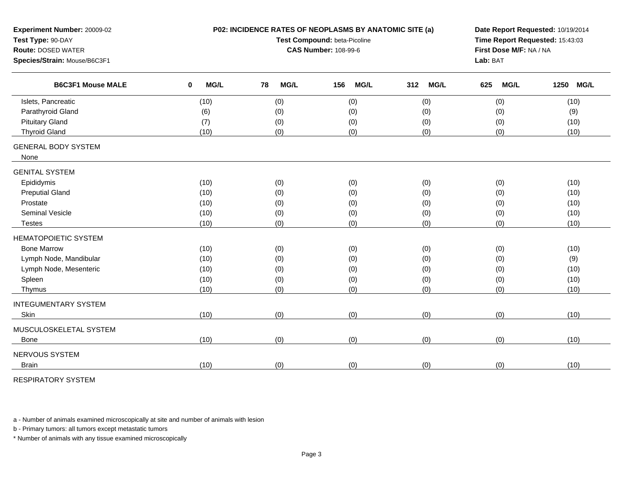| Experiment Number: 20009-02<br>Test Type: 90-DAY<br><b>Route: DOSED WATER</b><br>Species/Strain: Mouse/B6C3F1 |                     | P02: INCIDENCE RATES OF NEOPLASMS BY ANATOMIC SITE (a)<br>Test Compound: beta-Picoline<br><b>CAS Number: 108-99-6</b> | Date Report Requested: 10/19/2014<br>Time Report Requested: 15:43:03<br>First Dose M/F: NA / NA<br>Lab: BAT |                    |                    |                     |
|---------------------------------------------------------------------------------------------------------------|---------------------|-----------------------------------------------------------------------------------------------------------------------|-------------------------------------------------------------------------------------------------------------|--------------------|--------------------|---------------------|
| <b>B6C3F1 Mouse MALE</b>                                                                                      | $\mathbf 0$<br>MG/L | 78<br><b>MG/L</b>                                                                                                     | <b>MG/L</b><br>156                                                                                          | 312<br><b>MG/L</b> | 625<br><b>MG/L</b> | 1250<br><b>MG/L</b> |
| Islets, Pancreatic                                                                                            | (10)                | (0)                                                                                                                   | (0)                                                                                                         | (0)                | (0)                | (10)                |
| Parathyroid Gland                                                                                             | (6)                 | (0)                                                                                                                   | (0)                                                                                                         | (0)                | (0)                | (9)                 |
| <b>Pituitary Gland</b>                                                                                        | (7)                 | (0)                                                                                                                   | (0)                                                                                                         | (0)                | (0)                | (10)                |
| <b>Thyroid Gland</b>                                                                                          | (10)                | (0)                                                                                                                   | (0)                                                                                                         | (0)                | (0)                | (10)                |
| <b>GENERAL BODY SYSTEM</b><br>None                                                                            |                     |                                                                                                                       |                                                                                                             |                    |                    |                     |
| <b>GENITAL SYSTEM</b>                                                                                         |                     |                                                                                                                       |                                                                                                             |                    |                    |                     |
| Epididymis                                                                                                    | (10)                | (0)                                                                                                                   | (0)                                                                                                         | (0)                | (0)                | (10)                |
| <b>Preputial Gland</b>                                                                                        | (10)                | (0)                                                                                                                   | (0)                                                                                                         | (0)                | (0)                | (10)                |
| Prostate                                                                                                      | (10)                | (0)                                                                                                                   | (0)                                                                                                         | (0)                | (0)                | (10)                |
| <b>Seminal Vesicle</b>                                                                                        | (10)                | (0)                                                                                                                   | (0)                                                                                                         | (0)                | (0)                | (10)                |
| <b>Testes</b>                                                                                                 | (10)                | (0)                                                                                                                   | (0)                                                                                                         | (0)                | (0)                | (10)                |
| <b>HEMATOPOIETIC SYSTEM</b>                                                                                   |                     |                                                                                                                       |                                                                                                             |                    |                    |                     |
| <b>Bone Marrow</b>                                                                                            | (10)                | (0)                                                                                                                   | (0)                                                                                                         | (0)                | (0)                | (10)                |
| Lymph Node, Mandibular                                                                                        | (10)                | (0)                                                                                                                   | (0)                                                                                                         | (0)                | (0)                | (9)                 |
| Lymph Node, Mesenteric                                                                                        | (10)                | (0)                                                                                                                   | (0)                                                                                                         | (0)                | (0)                | (10)                |
| Spleen                                                                                                        | (10)                | (0)                                                                                                                   | (0)                                                                                                         | (0)                | (0)                | (10)                |
| Thymus                                                                                                        | (10)                | (0)                                                                                                                   | (0)                                                                                                         | (0)                | (0)                | (10)                |
| <b>INTEGUMENTARY SYSTEM</b>                                                                                   |                     |                                                                                                                       |                                                                                                             |                    |                    |                     |
| Skin                                                                                                          | (10)                | (0)                                                                                                                   | (0)                                                                                                         | (0)                | (0)                | (10)                |
| MUSCULOSKELETAL SYSTEM                                                                                        |                     |                                                                                                                       |                                                                                                             |                    |                    |                     |
| Bone                                                                                                          | (10)                | (0)                                                                                                                   | (0)                                                                                                         | (0)                | (0)                | (10)                |
| NERVOUS SYSTEM                                                                                                |                     |                                                                                                                       |                                                                                                             |                    |                    |                     |
| <b>Brain</b>                                                                                                  | (10)                | (0)                                                                                                                   | (0)                                                                                                         | (0)                | (0)                | (10)                |
|                                                                                                               |                     |                                                                                                                       |                                                                                                             |                    |                    |                     |

RESPIRATORY SYSTEM

a - Number of animals examined microscopically at site and number of animals with lesion

b - Primary tumors: all tumors except metastatic tumors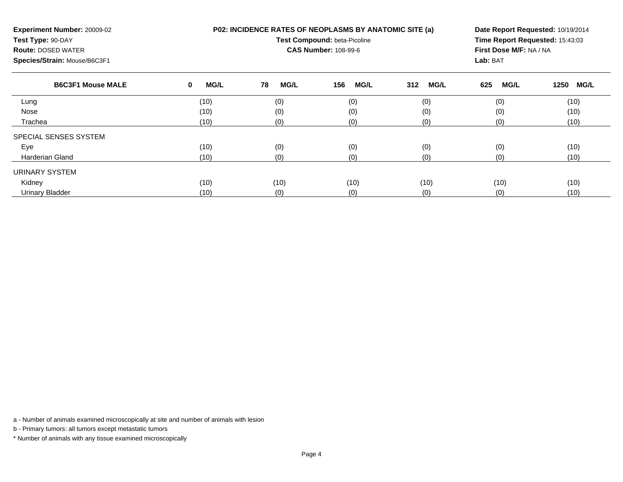| Experiment Number: 20009-02<br>Test Type: 90-DAY<br><b>Route: DOSED WATER</b><br>Species/Strain: Mouse/B6C3F1 |                  | P02: INCIDENCE RATES OF NEOPLASMS BY ANATOMIC SITE (a)<br>Test Compound: beta-Picoline<br><b>CAS Number: 108-99-6</b> | Date Report Requested: 10/19/2014<br>Time Report Requested: 15:43:03<br>First Dose M/F: NA / NA<br>Lab: BAT |                    |                    |                     |
|---------------------------------------------------------------------------------------------------------------|------------------|-----------------------------------------------------------------------------------------------------------------------|-------------------------------------------------------------------------------------------------------------|--------------------|--------------------|---------------------|
| <b>B6C3F1 Mouse MALE</b>                                                                                      | <b>MG/L</b><br>0 | 78<br><b>MG/L</b>                                                                                                     | <b>MG/L</b><br>156                                                                                          | <b>MG/L</b><br>312 | 625<br><b>MG/L</b> | <b>MG/L</b><br>1250 |
| Lung                                                                                                          | (10)             | (0)                                                                                                                   | (0)                                                                                                         | (0)                | (0)                | (10)                |
| Nose                                                                                                          | (10)             | (0)                                                                                                                   | (0)                                                                                                         | (0)                | (0)                | (10)                |
| Trachea                                                                                                       | (10)             | (0)                                                                                                                   | (0)                                                                                                         | (0)                | (0)                | (10)                |
| SPECIAL SENSES SYSTEM                                                                                         |                  |                                                                                                                       |                                                                                                             |                    |                    |                     |
| Eye                                                                                                           | (10)             | (0)                                                                                                                   | (0)                                                                                                         | (0)                | (0)                | (10)                |
| Harderian Gland                                                                                               | (10)             | (0)                                                                                                                   | (0)                                                                                                         | (0)                | (0)                | (10)                |
| URINARY SYSTEM                                                                                                |                  |                                                                                                                       |                                                                                                             |                    |                    |                     |
| Kidney                                                                                                        | (10)             | (10)                                                                                                                  | (10)                                                                                                        | (10)               | (10)               | (10)                |
| <b>Urinary Bladder</b>                                                                                        | (10)             | (0)                                                                                                                   | (0)                                                                                                         | (0)                | (0)                | (10)                |

b - Primary tumors: all tumors except metastatic tumors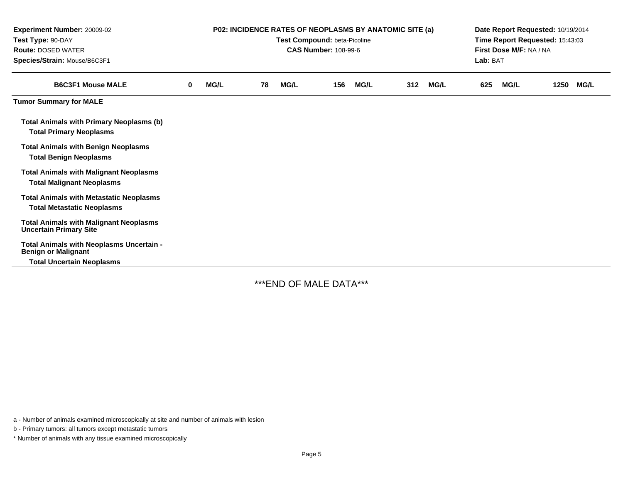| Experiment Number: 20009-02<br>Test Type: 90-DAY<br><b>Route: DOSED WATER</b><br>Species/Strain: Mouse/B6C3F1 | <b>P02: INCIDENCE RATES OF NEOPLASMS BY ANATOMIC SITE (a)</b><br>Test Compound: beta-Picoline<br><b>CAS Number: 108-99-6</b> |             |    |             |     |             | Date Report Requested: 10/19/2014<br>Time Report Requested: 15:43:03<br>First Dose M/F: NA / NA<br>Lab: BAT |             |     |             |      |             |
|---------------------------------------------------------------------------------------------------------------|------------------------------------------------------------------------------------------------------------------------------|-------------|----|-------------|-----|-------------|-------------------------------------------------------------------------------------------------------------|-------------|-----|-------------|------|-------------|
| <b>B6C3F1 Mouse MALE</b>                                                                                      | 0                                                                                                                            | <b>MG/L</b> | 78 | <b>MG/L</b> | 156 | <b>MG/L</b> | 312                                                                                                         | <b>MG/L</b> | 625 | <b>MG/L</b> | 1250 | <b>MG/L</b> |
| <b>Tumor Summary for MALE</b>                                                                                 |                                                                                                                              |             |    |             |     |             |                                                                                                             |             |     |             |      |             |
| <b>Total Animals with Primary Neoplasms (b)</b><br><b>Total Primary Neoplasms</b>                             |                                                                                                                              |             |    |             |     |             |                                                                                                             |             |     |             |      |             |
| <b>Total Animals with Benign Neoplasms</b><br><b>Total Benign Neoplasms</b>                                   |                                                                                                                              |             |    |             |     |             |                                                                                                             |             |     |             |      |             |
| <b>Total Animals with Malignant Neoplasms</b><br><b>Total Malignant Neoplasms</b>                             |                                                                                                                              |             |    |             |     |             |                                                                                                             |             |     |             |      |             |
| <b>Total Animals with Metastatic Neoplasms</b><br><b>Total Metastatic Neoplasms</b>                           |                                                                                                                              |             |    |             |     |             |                                                                                                             |             |     |             |      |             |
| <b>Total Animals with Malignant Neoplasms</b><br><b>Uncertain Primary Site</b>                                |                                                                                                                              |             |    |             |     |             |                                                                                                             |             |     |             |      |             |
| Total Animals with Neoplasms Uncertain -<br><b>Benign or Malignant</b>                                        |                                                                                                                              |             |    |             |     |             |                                                                                                             |             |     |             |      |             |
| <b>Total Uncertain Neoplasms</b>                                                                              |                                                                                                                              |             |    |             |     |             |                                                                                                             |             |     |             |      |             |

\*\*\*END OF MALE DATA\*\*\*

a - Number of animals examined microscopically at site and number of animals with lesion

b - Primary tumors: all tumors except metastatic tumors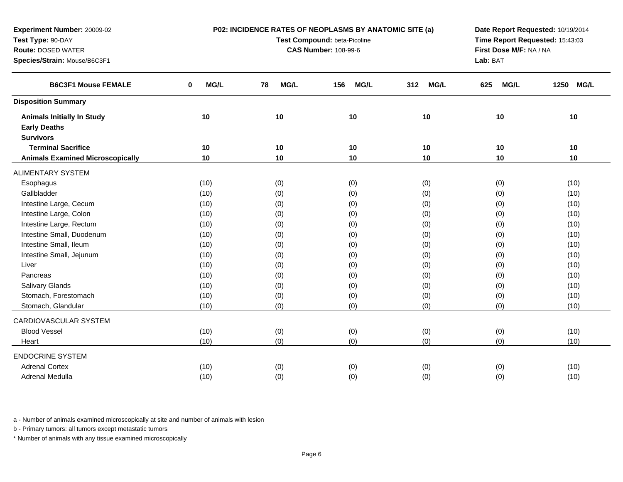| Test Type: 90-DAY<br>Test Compound: beta-Picoline<br>Time Report Requested: 15:43:03<br><b>CAS Number: 108-99-6</b><br>First Dose M/F: NA / NA<br><b>Route: DOSED WATER</b><br>Species/Strain: Mouse/B6C3F1<br>Lab: BAT<br>MG/L<br>MG/L<br><b>MG/L</b><br><b>B6C3F1 Mouse FEMALE</b><br>$\bf{0}$<br>78<br>156<br><b>MG/L</b><br><b>MG/L</b><br>1250<br><b>MG/L</b><br>312<br>625<br><b>Disposition Summary</b><br>10<br>10<br>10<br>10<br>10<br><b>Animals Initially In Study</b><br>10<br><b>Early Deaths</b><br><b>Survivors</b><br><b>Terminal Sacrifice</b><br>10<br>10<br>10<br>10<br>10<br>10<br><b>Animals Examined Microscopically</b><br>10<br>10<br>10<br>10<br>10<br>10<br><b>ALIMENTARY SYSTEM</b><br>(10)<br>(0)<br>(0)<br>(0)<br>(0)<br>(10)<br>Esophagus<br>Gallbladder<br>(0)<br>(0)<br>(10)<br>(10)<br>(0)<br>(0)<br>Intestine Large, Cecum<br>(0)<br>(10)<br>(10)<br>(0)<br>(0)<br>(0)<br>Intestine Large, Colon<br>(0)<br>(0)<br>(10)<br>(0)<br>(0)<br>(10)<br>Intestine Large, Rectum<br>(0)<br>(10)<br>(10)<br>(0)<br>(0)<br>(0)<br>Intestine Small, Duodenum<br>(0)<br>(0)<br>(0)<br>(10)<br>(10)<br>(0)<br>Intestine Small, Ileum<br>(0)<br>(0)<br>(0)<br>(10)<br>(10)<br>(0)<br>Intestine Small, Jejunum<br>(0)<br>(0)<br>(0)<br>(0)<br>(10)<br>(10)<br>(0)<br>Liver<br>(0)<br>(10)<br>(10)<br>(0)<br>(0)<br>(0)<br>Pancreas<br>(10)<br>(0)<br>(0)<br>(0)<br>(10)<br>(0)<br>Salivary Glands<br>(0)<br>(0)<br>(0)<br>(10)<br>(10)<br>Stomach, Forestomach<br>(0)<br>(0)<br>(10)<br>(0)<br>(0)<br>(10)<br>Stomach, Glandular<br>(0)<br>(0)<br>(0)<br>(0)<br>(10)<br>(10)<br>CARDIOVASCULAR SYSTEM<br><b>Blood Vessel</b><br>(10)<br>(0)<br>(0)<br>(0)<br>(0)<br>(10)<br>(0)<br>(0)<br>(0)<br>(0)<br>(10)<br>(10)<br>Heart<br><b>ENDOCRINE SYSTEM</b><br><b>Adrenal Cortex</b><br>(10)<br>(0)<br>(0)<br>(0)<br>(0)<br>(10)<br>Adrenal Medulla<br>(10)<br>(0)<br>(0)<br>(0)<br>(0)<br>(10) | Experiment Number: 20009-02 |  | P02: INCIDENCE RATES OF NEOPLASMS BY ANATOMIC SITE (a) | Date Report Requested: 10/19/2014 |  |  |  |
|----------------------------------------------------------------------------------------------------------------------------------------------------------------------------------------------------------------------------------------------------------------------------------------------------------------------------------------------------------------------------------------------------------------------------------------------------------------------------------------------------------------------------------------------------------------------------------------------------------------------------------------------------------------------------------------------------------------------------------------------------------------------------------------------------------------------------------------------------------------------------------------------------------------------------------------------------------------------------------------------------------------------------------------------------------------------------------------------------------------------------------------------------------------------------------------------------------------------------------------------------------------------------------------------------------------------------------------------------------------------------------------------------------------------------------------------------------------------------------------------------------------------------------------------------------------------------------------------------------------------------------------------------------------------------------------------------------------------------------------------------------------------------------------------------------------------------------------------------------------------------------------------------------------|-----------------------------|--|--------------------------------------------------------|-----------------------------------|--|--|--|
|                                                                                                                                                                                                                                                                                                                                                                                                                                                                                                                                                                                                                                                                                                                                                                                                                                                                                                                                                                                                                                                                                                                                                                                                                                                                                                                                                                                                                                                                                                                                                                                                                                                                                                                                                                                                                                                                                                                |                             |  |                                                        |                                   |  |  |  |
|                                                                                                                                                                                                                                                                                                                                                                                                                                                                                                                                                                                                                                                                                                                                                                                                                                                                                                                                                                                                                                                                                                                                                                                                                                                                                                                                                                                                                                                                                                                                                                                                                                                                                                                                                                                                                                                                                                                |                             |  |                                                        |                                   |  |  |  |
|                                                                                                                                                                                                                                                                                                                                                                                                                                                                                                                                                                                                                                                                                                                                                                                                                                                                                                                                                                                                                                                                                                                                                                                                                                                                                                                                                                                                                                                                                                                                                                                                                                                                                                                                                                                                                                                                                                                |                             |  |                                                        |                                   |  |  |  |
|                                                                                                                                                                                                                                                                                                                                                                                                                                                                                                                                                                                                                                                                                                                                                                                                                                                                                                                                                                                                                                                                                                                                                                                                                                                                                                                                                                                                                                                                                                                                                                                                                                                                                                                                                                                                                                                                                                                |                             |  |                                                        |                                   |  |  |  |
|                                                                                                                                                                                                                                                                                                                                                                                                                                                                                                                                                                                                                                                                                                                                                                                                                                                                                                                                                                                                                                                                                                                                                                                                                                                                                                                                                                                                                                                                                                                                                                                                                                                                                                                                                                                                                                                                                                                |                             |  |                                                        |                                   |  |  |  |
|                                                                                                                                                                                                                                                                                                                                                                                                                                                                                                                                                                                                                                                                                                                                                                                                                                                                                                                                                                                                                                                                                                                                                                                                                                                                                                                                                                                                                                                                                                                                                                                                                                                                                                                                                                                                                                                                                                                |                             |  |                                                        |                                   |  |  |  |
|                                                                                                                                                                                                                                                                                                                                                                                                                                                                                                                                                                                                                                                                                                                                                                                                                                                                                                                                                                                                                                                                                                                                                                                                                                                                                                                                                                                                                                                                                                                                                                                                                                                                                                                                                                                                                                                                                                                |                             |  |                                                        |                                   |  |  |  |
|                                                                                                                                                                                                                                                                                                                                                                                                                                                                                                                                                                                                                                                                                                                                                                                                                                                                                                                                                                                                                                                                                                                                                                                                                                                                                                                                                                                                                                                                                                                                                                                                                                                                                                                                                                                                                                                                                                                |                             |  |                                                        |                                   |  |  |  |
|                                                                                                                                                                                                                                                                                                                                                                                                                                                                                                                                                                                                                                                                                                                                                                                                                                                                                                                                                                                                                                                                                                                                                                                                                                                                                                                                                                                                                                                                                                                                                                                                                                                                                                                                                                                                                                                                                                                |                             |  |                                                        |                                   |  |  |  |
|                                                                                                                                                                                                                                                                                                                                                                                                                                                                                                                                                                                                                                                                                                                                                                                                                                                                                                                                                                                                                                                                                                                                                                                                                                                                                                                                                                                                                                                                                                                                                                                                                                                                                                                                                                                                                                                                                                                |                             |  |                                                        |                                   |  |  |  |
|                                                                                                                                                                                                                                                                                                                                                                                                                                                                                                                                                                                                                                                                                                                                                                                                                                                                                                                                                                                                                                                                                                                                                                                                                                                                                                                                                                                                                                                                                                                                                                                                                                                                                                                                                                                                                                                                                                                |                             |  |                                                        |                                   |  |  |  |
|                                                                                                                                                                                                                                                                                                                                                                                                                                                                                                                                                                                                                                                                                                                                                                                                                                                                                                                                                                                                                                                                                                                                                                                                                                                                                                                                                                                                                                                                                                                                                                                                                                                                                                                                                                                                                                                                                                                |                             |  |                                                        |                                   |  |  |  |
|                                                                                                                                                                                                                                                                                                                                                                                                                                                                                                                                                                                                                                                                                                                                                                                                                                                                                                                                                                                                                                                                                                                                                                                                                                                                                                                                                                                                                                                                                                                                                                                                                                                                                                                                                                                                                                                                                                                |                             |  |                                                        |                                   |  |  |  |
|                                                                                                                                                                                                                                                                                                                                                                                                                                                                                                                                                                                                                                                                                                                                                                                                                                                                                                                                                                                                                                                                                                                                                                                                                                                                                                                                                                                                                                                                                                                                                                                                                                                                                                                                                                                                                                                                                                                |                             |  |                                                        |                                   |  |  |  |
|                                                                                                                                                                                                                                                                                                                                                                                                                                                                                                                                                                                                                                                                                                                                                                                                                                                                                                                                                                                                                                                                                                                                                                                                                                                                                                                                                                                                                                                                                                                                                                                                                                                                                                                                                                                                                                                                                                                |                             |  |                                                        |                                   |  |  |  |
|                                                                                                                                                                                                                                                                                                                                                                                                                                                                                                                                                                                                                                                                                                                                                                                                                                                                                                                                                                                                                                                                                                                                                                                                                                                                                                                                                                                                                                                                                                                                                                                                                                                                                                                                                                                                                                                                                                                |                             |  |                                                        |                                   |  |  |  |
|                                                                                                                                                                                                                                                                                                                                                                                                                                                                                                                                                                                                                                                                                                                                                                                                                                                                                                                                                                                                                                                                                                                                                                                                                                                                                                                                                                                                                                                                                                                                                                                                                                                                                                                                                                                                                                                                                                                |                             |  |                                                        |                                   |  |  |  |
|                                                                                                                                                                                                                                                                                                                                                                                                                                                                                                                                                                                                                                                                                                                                                                                                                                                                                                                                                                                                                                                                                                                                                                                                                                                                                                                                                                                                                                                                                                                                                                                                                                                                                                                                                                                                                                                                                                                |                             |  |                                                        |                                   |  |  |  |
|                                                                                                                                                                                                                                                                                                                                                                                                                                                                                                                                                                                                                                                                                                                                                                                                                                                                                                                                                                                                                                                                                                                                                                                                                                                                                                                                                                                                                                                                                                                                                                                                                                                                                                                                                                                                                                                                                                                |                             |  |                                                        |                                   |  |  |  |
|                                                                                                                                                                                                                                                                                                                                                                                                                                                                                                                                                                                                                                                                                                                                                                                                                                                                                                                                                                                                                                                                                                                                                                                                                                                                                                                                                                                                                                                                                                                                                                                                                                                                                                                                                                                                                                                                                                                |                             |  |                                                        |                                   |  |  |  |
|                                                                                                                                                                                                                                                                                                                                                                                                                                                                                                                                                                                                                                                                                                                                                                                                                                                                                                                                                                                                                                                                                                                                                                                                                                                                                                                                                                                                                                                                                                                                                                                                                                                                                                                                                                                                                                                                                                                |                             |  |                                                        |                                   |  |  |  |
|                                                                                                                                                                                                                                                                                                                                                                                                                                                                                                                                                                                                                                                                                                                                                                                                                                                                                                                                                                                                                                                                                                                                                                                                                                                                                                                                                                                                                                                                                                                                                                                                                                                                                                                                                                                                                                                                                                                |                             |  |                                                        |                                   |  |  |  |
|                                                                                                                                                                                                                                                                                                                                                                                                                                                                                                                                                                                                                                                                                                                                                                                                                                                                                                                                                                                                                                                                                                                                                                                                                                                                                                                                                                                                                                                                                                                                                                                                                                                                                                                                                                                                                                                                                                                |                             |  |                                                        |                                   |  |  |  |
|                                                                                                                                                                                                                                                                                                                                                                                                                                                                                                                                                                                                                                                                                                                                                                                                                                                                                                                                                                                                                                                                                                                                                                                                                                                                                                                                                                                                                                                                                                                                                                                                                                                                                                                                                                                                                                                                                                                |                             |  |                                                        |                                   |  |  |  |
|                                                                                                                                                                                                                                                                                                                                                                                                                                                                                                                                                                                                                                                                                                                                                                                                                                                                                                                                                                                                                                                                                                                                                                                                                                                                                                                                                                                                                                                                                                                                                                                                                                                                                                                                                                                                                                                                                                                |                             |  |                                                        |                                   |  |  |  |
|                                                                                                                                                                                                                                                                                                                                                                                                                                                                                                                                                                                                                                                                                                                                                                                                                                                                                                                                                                                                                                                                                                                                                                                                                                                                                                                                                                                                                                                                                                                                                                                                                                                                                                                                                                                                                                                                                                                |                             |  |                                                        |                                   |  |  |  |
|                                                                                                                                                                                                                                                                                                                                                                                                                                                                                                                                                                                                                                                                                                                                                                                                                                                                                                                                                                                                                                                                                                                                                                                                                                                                                                                                                                                                                                                                                                                                                                                                                                                                                                                                                                                                                                                                                                                |                             |  |                                                        |                                   |  |  |  |
|                                                                                                                                                                                                                                                                                                                                                                                                                                                                                                                                                                                                                                                                                                                                                                                                                                                                                                                                                                                                                                                                                                                                                                                                                                                                                                                                                                                                                                                                                                                                                                                                                                                                                                                                                                                                                                                                                                                |                             |  |                                                        |                                   |  |  |  |
|                                                                                                                                                                                                                                                                                                                                                                                                                                                                                                                                                                                                                                                                                                                                                                                                                                                                                                                                                                                                                                                                                                                                                                                                                                                                                                                                                                                                                                                                                                                                                                                                                                                                                                                                                                                                                                                                                                                |                             |  |                                                        |                                   |  |  |  |
|                                                                                                                                                                                                                                                                                                                                                                                                                                                                                                                                                                                                                                                                                                                                                                                                                                                                                                                                                                                                                                                                                                                                                                                                                                                                                                                                                                                                                                                                                                                                                                                                                                                                                                                                                                                                                                                                                                                |                             |  |                                                        |                                   |  |  |  |

b - Primary tumors: all tumors except metastatic tumors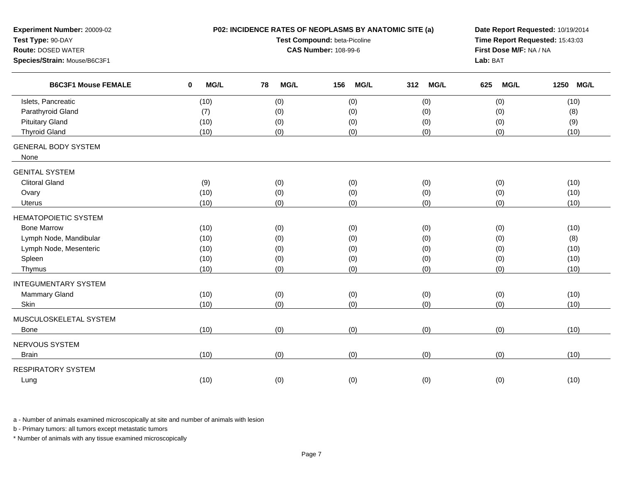| Experiment Number: 20009-02<br>Test Type: 90-DAY<br><b>Route: DOSED WATER</b><br>Species/Strain: Mouse/B6C3F1 |                     | P02: INCIDENCE RATES OF NEOPLASMS BY ANATOMIC SITE (a)<br>Test Compound: beta-Picoline<br><b>CAS Number: 108-99-6</b> | Date Report Requested: 10/19/2014<br>Time Report Requested: 15:43:03<br>First Dose M/F: NA / NA<br>Lab: BAT |                    |             |                     |
|---------------------------------------------------------------------------------------------------------------|---------------------|-----------------------------------------------------------------------------------------------------------------------|-------------------------------------------------------------------------------------------------------------|--------------------|-------------|---------------------|
| <b>B6C3F1 Mouse FEMALE</b>                                                                                    | MG/L<br>$\mathbf 0$ | 78<br><b>MG/L</b>                                                                                                     | <b>MG/L</b><br>156                                                                                          | 312<br><b>MG/L</b> | 625<br>MG/L | 1250<br><b>MG/L</b> |
| Islets, Pancreatic                                                                                            | (10)                | (0)                                                                                                                   | (0)                                                                                                         | (0)                | (0)         | (10)                |
| Parathyroid Gland                                                                                             | (7)                 | (0)                                                                                                                   | (0)                                                                                                         | (0)                | (0)         | (8)                 |
| <b>Pituitary Gland</b>                                                                                        | (10)                | (0)                                                                                                                   | (0)                                                                                                         | (0)                | (0)         | (9)                 |
| <b>Thyroid Gland</b>                                                                                          | (10)                | (0)                                                                                                                   | (0)                                                                                                         | (0)                | (0)         | (10)                |
| <b>GENERAL BODY SYSTEM</b><br>None                                                                            |                     |                                                                                                                       |                                                                                                             |                    |             |                     |
| <b>GENITAL SYSTEM</b>                                                                                         |                     |                                                                                                                       |                                                                                                             |                    |             |                     |
| <b>Clitoral Gland</b>                                                                                         | (9)                 | (0)                                                                                                                   | (0)                                                                                                         | (0)                | (0)         | (10)                |
| Ovary                                                                                                         | (10)                | (0)                                                                                                                   | (0)                                                                                                         | (0)                | (0)         | (10)                |
| <b>Uterus</b>                                                                                                 | (10)                | (0)                                                                                                                   | (0)                                                                                                         | (0)                | (0)         | (10)                |
| <b>HEMATOPOIETIC SYSTEM</b>                                                                                   |                     |                                                                                                                       |                                                                                                             |                    |             |                     |
| <b>Bone Marrow</b>                                                                                            | (10)                | (0)                                                                                                                   | (0)                                                                                                         | (0)                | (0)         | (10)                |
| Lymph Node, Mandibular                                                                                        | (10)                | (0)                                                                                                                   | (0)                                                                                                         | (0)                | (0)         | (8)                 |
| Lymph Node, Mesenteric                                                                                        | (10)                | (0)                                                                                                                   | (0)                                                                                                         | (0)                | (0)         | (10)                |
| Spleen                                                                                                        | (10)                | (0)                                                                                                                   | (0)                                                                                                         | (0)                | (0)         | (10)                |
| Thymus                                                                                                        | (10)                | (0)                                                                                                                   | (0)                                                                                                         | (0)                | (0)         | (10)                |
| <b>INTEGUMENTARY SYSTEM</b>                                                                                   |                     |                                                                                                                       |                                                                                                             |                    |             |                     |
| Mammary Gland                                                                                                 | (10)                | (0)                                                                                                                   | (0)                                                                                                         | (0)                | (0)         | (10)                |
| Skin                                                                                                          | (10)                | (0)                                                                                                                   | (0)                                                                                                         | (0)                | (0)         | (10)                |
| MUSCULOSKELETAL SYSTEM                                                                                        |                     |                                                                                                                       |                                                                                                             |                    |             |                     |
| Bone                                                                                                          | (10)                | (0)                                                                                                                   | (0)                                                                                                         | (0)                | (0)         | (10)                |
| NERVOUS SYSTEM                                                                                                |                     |                                                                                                                       |                                                                                                             |                    |             |                     |
| <b>Brain</b>                                                                                                  | (10)                | (0)                                                                                                                   | (0)                                                                                                         | (0)                | (0)         | (10)                |
| <b>RESPIRATORY SYSTEM</b>                                                                                     |                     |                                                                                                                       |                                                                                                             |                    |             |                     |
| Lung                                                                                                          | (10)                | (0)                                                                                                                   | (0)                                                                                                         | (0)                | (0)         | (10)                |
|                                                                                                               |                     |                                                                                                                       |                                                                                                             |                    |             |                     |

b - Primary tumors: all tumors except metastatic tumors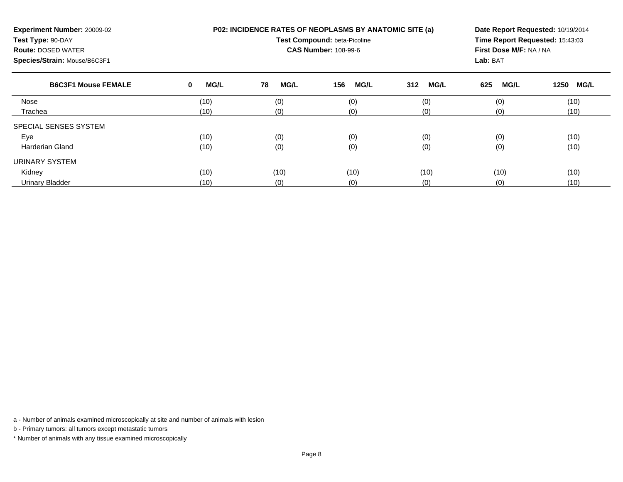| Experiment Number: 20009-02<br>Test Type: 90-DAY<br><b>Route: DOSED WATER</b><br>Species/Strain: Mouse/B6C3F1 |                  | P02: INCIDENCE RATES OF NEOPLASMS BY ANATOMIC SITE (a)<br>Test Compound: beta-Picoline<br><b>CAS Number: 108-99-6</b> | Date Report Requested: 10/19/2014<br>Time Report Requested: 15:43:03<br>First Dose M/F: NA / NA<br>Lab: BAT |                    |                    |                     |
|---------------------------------------------------------------------------------------------------------------|------------------|-----------------------------------------------------------------------------------------------------------------------|-------------------------------------------------------------------------------------------------------------|--------------------|--------------------|---------------------|
| <b>B6C3F1 Mouse FEMALE</b>                                                                                    | <b>MG/L</b><br>0 | 78<br><b>MG/L</b>                                                                                                     | 156<br><b>MG/L</b>                                                                                          | <b>MG/L</b><br>312 | 625<br><b>MG/L</b> | 1250<br><b>MG/L</b> |
| Nose                                                                                                          | (10)             | (0)                                                                                                                   | (0)                                                                                                         | (0)                | (0)                | (10)                |
| Trachea                                                                                                       | (10)             | (0)                                                                                                                   | (0)                                                                                                         | (0)                | (0)                | (10)                |
| SPECIAL SENSES SYSTEM                                                                                         |                  |                                                                                                                       |                                                                                                             |                    |                    |                     |
| Eye                                                                                                           | (10)             | (0)                                                                                                                   | (0)                                                                                                         | (0)                | (0)                | (10)                |
| Harderian Gland                                                                                               | (10)             | (0)                                                                                                                   | (0)                                                                                                         | (0)                | (0)                | (10)                |
| URINARY SYSTEM                                                                                                |                  |                                                                                                                       |                                                                                                             |                    |                    |                     |
| Kidney                                                                                                        | (10)             | (10)                                                                                                                  | (10)                                                                                                        | (10)               | (10)               | (10)                |
| <b>Urinary Bladder</b>                                                                                        | (10)             | (0)                                                                                                                   | (0)                                                                                                         | (0)                | (0)                | (10)                |

b - Primary tumors: all tumors except metastatic tumors